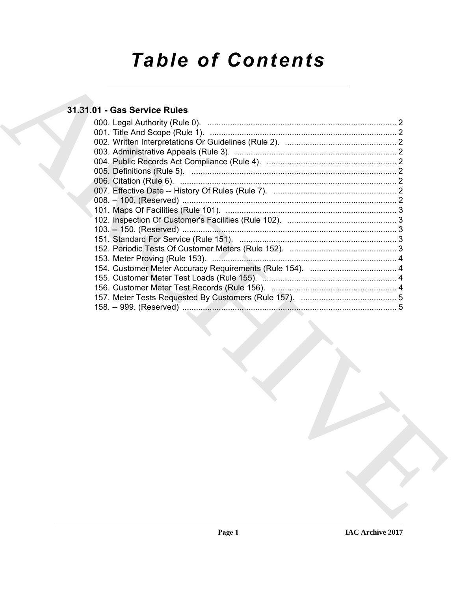# *Table of Contents*

### **31.31.01 - Gas Service Rules**

| 31.31.01 - Gas Service Rules |
|------------------------------|
|                              |
|                              |
|                              |
|                              |
|                              |
|                              |
|                              |
|                              |
|                              |
|                              |
|                              |
|                              |
|                              |
|                              |
|                              |
|                              |
|                              |
|                              |
|                              |
|                              |
|                              |
|                              |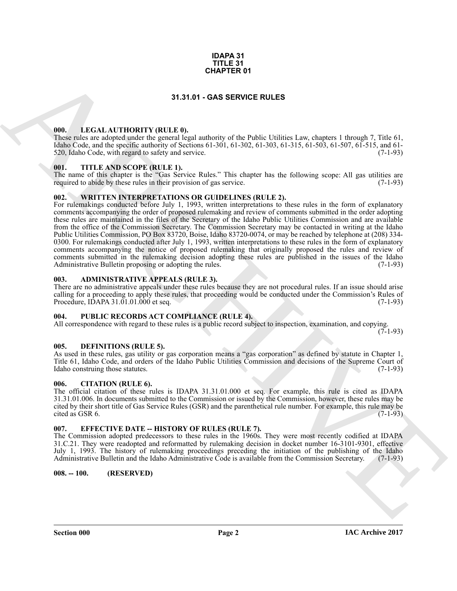#### **IDAPA 31 TITLE 31 CHAPTER 01**

#### **31.31.01 - GAS SERVICE RULES**

#### <span id="page-1-1"></span><span id="page-1-0"></span>**000. LEGAL AUTHORITY (RULE 0).**

These rules are adopted under the general legal authority of the Public Utilities Law, chapters 1 through 7, Title 61, Idaho Code, and the specific authority of Sections 61-301, 61-302, 61-303, 61-315, 61-503, 61-507, 61-515, and 61- 520, Idaho Code, with regard to safety and service. (7-1-93)

#### <span id="page-1-2"></span>**001. TITLE AND SCOPE (RULE 1).**

The name of this chapter is the "Gas Service Rules." This chapter has the following scope: All gas utilities are required to abide by these rules in their provision of gas service. (7-1-93)

#### <span id="page-1-3"></span>**002. WRITTEN INTERPRETATIONS OR GUIDELINES (RULE 2).**

**31.31.0 • GAS SERVICE RULES**<br> **31.31.0 • GAS SERVICE RULES**<br> **31.31.0 • GAS SERVICE RULES**<br> **31.31.0 • GAS SERVICE RULES**<br> **10.0** • GAS SERVICE RULES<br> **10.0** • GAS SERVICE RULES<br> **10.0** • GAS SERVICE RULES<br> **32.0 Each** For rulemakings conducted before July 1, 1993, written interpretations to these rules in the form of explanatory comments accompanying the order of proposed rulemaking and review of comments submitted in the order adopting these rules are maintained in the files of the Secretary of the Idaho Public Utilities Commission and are available from the office of the Commission Secretary. The Commission Secretary may be contacted in writing at the Idaho Public Utilities Commission, PO Box 83720, Boise, Idaho 83720-0074, or may be reached by telephone at (208) 334- 0300. For rulemakings conducted after July 1, 1993, written interpretations to these rules in the form of explanatory comments accompanying the notice of proposed rulemaking that originally proposed the rules and review of comments submitted in the rulemaking decision adopting these rules are published in the issues of the Idaho Administrative Bulletin proposing or adopting the rules. (7-1-93) Administrative Bulletin proposing or adopting the rules.

#### <span id="page-1-4"></span>**003. ADMINISTRATIVE APPEALS (RULE 3).**

There are no administrative appeals under these rules because they are not procedural rules. If an issue should arise calling for a proceeding to apply these rules, that proceeding would be conducted under the Commission's Rules of Procedure, IDAPA 31.01.00.00 et seq. Procedure, IDAPA 31.01.01.000 et seq.

#### <span id="page-1-5"></span>**004. PUBLIC RECORDS ACT COMPLIANCE (RULE 4).**

All correspondence with regard to these rules is a public record subject to inspection, examination, and copying.

 $(7-1-93)$ 

#### <span id="page-1-10"></span><span id="page-1-6"></span>**005. DEFINITIONS (RULE 5).**

As used in these rules, gas utility or gas corporation means a "gas corporation" as defined by statute in Chapter 1, Title 61, Idaho Code, and orders of the Idaho Public Utilities Commission and decisions of the Supreme Court of Idaho construing those statutes. (7-1-93)

#### <span id="page-1-7"></span>**006. CITATION (RULE 6).**

The official citation of these rules is IDAPA 31.31.01.000 et seq. For example, this rule is cited as IDAPA 31.31.01.006. In documents submitted to the Commission or issued by the Commission, however, these rules may be cited by their short title of Gas Service Rules (GSR) and the parenthetical rule number. For example, this rule may be cited as GSR 6.

#### <span id="page-1-8"></span>**007. EFFECTIVE DATE -- HISTORY OF RULES (RULE 7).**

The Commission adopted predecessors to these rules in the 1960s. They were most recently codified at IDAPA 31.C.21. They were readopted and reformatted by rulemaking decision in docket number 16-3101-9301, effective July 1, 1993. The history of rulemaking proceedings preceding the initiation of the publishing of the Idaho Administrative Bulletin and the Idaho Administrative Code is available from the Commission Secretary. (7-1-93)

<span id="page-1-9"></span>**008. -- 100. (RESERVED)**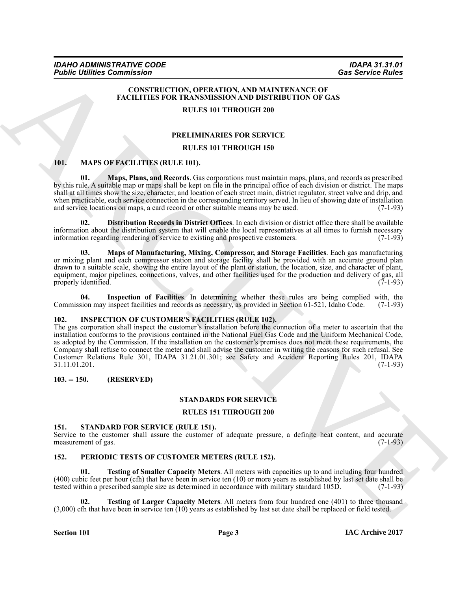#### **CONSTRUCTION, OPERATION, AND MAINTENANCE OF FACILITIES FOR TRANSMISSION AND DISTRIBUTION OF GAS**

#### **RULES 101 THROUGH 200**

#### **PRELIMINARIES FOR SERVICE**

#### **RULES 101 THROUGH 150**

#### <span id="page-2-6"></span><span id="page-2-0"></span>**101. MAPS OF FACILITIES (RULE 101).**

<span id="page-2-10"></span>**01. Maps, Plans, and Records**. Gas corporations must maintain maps, plans, and records as prescribed by this rule. A suitable map or maps shall be kept on file in the principal office of each division or district. The maps shall at all times show the size, character, and location of each street main, district regulator, street valve and drip, and when practicable, each service connection in the corresponding territory served. In lieu of showing date of installation and service locations on maps, a card record or other suitable means may be used. (7-1-93) and service locations on maps, a card record or other suitable means may be used.

<span id="page-2-7"></span>**02. Distribution Records in District Offices**. In each division or district office there shall be available information about the distribution system that will enable the local representatives at all times to furnish necessary<br>information regarding rendering of service to existing and prospective customers. (7-1-93) information regarding rendering of service to existing and prospective customers.

<span id="page-2-9"></span>**03. Maps of Manufacturing, Mixing, Compressor, and Storage Facilities**. Each gas manufacturing or mixing plant and each compressor station and storage facility shall be provided with an accurate ground plan drawn to a suitable scale, showing the entire layout of the plant or station, the location, size, and character of plant, equipment, major pipelines, connections, valves, and other facilities used for the production and delivery of gas, all properly identified. (7-1-93) properly identified.

<span id="page-2-8"></span>**04. Inspection of Facilities**. In determining whether these rules are being complied with, the Commission may inspect facilities and records as necessary, as provided in Section 61-521, Idaho Code. (7-1-93)

#### <span id="page-2-5"></span><span id="page-2-1"></span>**102. INSPECTION OF CUSTOMER'S FACILITIES (RULE 102).**

**FIGURE COMMISSION CONTINUATION** (CONTINUES AND MAINTENANCE CONTRACTOR CONTRACTOR CONTRACTOR (CONTRACTOR) RAD MAINTENANCE CONTRACTOR (CONTRACTOR) RAD ANNIVERSION (CONTRACTOR) RAD ANNIVERSION CONTRACTOR (ETTER) WELL ASSESS The gas corporation shall inspect the customer's installation before the connection of a meter to ascertain that the installation conforms to the provisions contained in the National Fuel Gas Code and the Uniform Mechanical Code, as adopted by the Commission. If the installation on the customer's premises does not meet these requirements, the Company shall refuse to connect the meter and shall advise the customer in writing the reasons for such refusal. See Customer Relations Rule 301, IDAPA 31.21.01.301; see Safety and Accident Reporting Rules 201, IDAPA  $31.11.01.201.$  (7-1-93)

#### <span id="page-2-2"></span>**103. -- 150. (RESERVED)**

#### **STANDARDS FOR SERVICE**

#### **RULES 151 THROUGH 200**

#### <span id="page-2-14"></span><span id="page-2-3"></span>**151. STANDARD FOR SERVICE (RULE 151).**

Service to the customer shall assure the customer of adequate pressure, a definite heat content, and accurate measurement of gas. (7-1-93) measurement of gas.

#### <span id="page-2-13"></span><span id="page-2-11"></span><span id="page-2-4"></span>**152. PERIODIC TESTS OF CUSTOMER METERS (RULE 152).**

**01. Testing of Smaller Capacity Meters**. All meters with capacities up to and including four hundred (400) cubic feet per hour (cfh) that have been in service ten (10) or more years as established by last set date shall be tested within a prescribed sample size as determined in accordance with military standard 105D.  $(7$ tested within a prescribed sample size as determined in accordance with military standard 105D.

<span id="page-2-12"></span>**Testing of Larger Capacity Meters.** All meters from four hundred one (401) to three thousand (3,000) cfh that have been in service ten (10) years as established by last set date shall be replaced or field tested.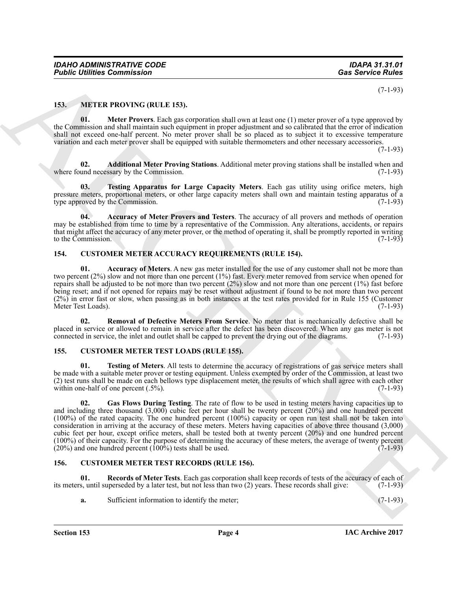(7-1-93)

#### <span id="page-3-12"></span><span id="page-3-0"></span>**153. METER PROVING (RULE 153).**

<span id="page-3-15"></span>**01. Meter Provers**. Each gas corporation shall own at least one (1) meter prover of a type approved by the Commission and shall maintain such equipment in proper adjustment and so calibrated that the error of indication shall not exceed one-half percent. No meter prover shall be so placed as to subject it to excessive temperature variation and each meter prover shall be equipped with suitable thermometers and other necessary accessories.

(7-1-93)

<span id="page-3-14"></span>**02. Additional Meter Proving Stations**. Additional meter proving stations shall be installed when and und necessary by the Commission. (7-1-93) where found necessary by the Commission.

<span id="page-3-16"></span>**03. Testing Apparatus for Large Capacity Meters**. Each gas utility using orifice meters, high pressure meters, proportional meters, or other large capacity meters shall own and maintain testing apparatus of a type approved by the Commission. (7-1-93) type approved by the Commission.

<span id="page-3-13"></span>**04. Accuracy of Meter Provers and Testers**. The accuracy of all provers and methods of operation may be established from time to time by a representative of the Commission. Any alterations, accidents, or repairs that might affect the accuracy of any meter prover, or the method of operating it, shall be promptly reported in writing to the Commission. (7-1-93) to the Commission.

#### <span id="page-3-4"></span><span id="page-3-1"></span>**154. CUSTOMER METER ACCURACY REQUIREMENTS (RULE 154).**

<span id="page-3-5"></span>**01. Accuracy of Meters**. A new gas meter installed for the use of any customer shall not be more than two percent (2%) slow and not more than one percent (1%) fast. Every meter removed from service when opened for repairs shall be adjusted to be not more than two percent (2%) slow and not more than one percent (1%) fast before being reset; and if not opened for repairs may be reset without adjustment if found to be not more than two percent (2%) in error fast or slow, when passing as in both instances at the test rates provided for in Rule 155 (Customer Meter Test Loads). (7-1-93)

<span id="page-3-6"></span>**02. Removal of Defective Meters From Service**. No meter that is mechanically defective shall be placed in service or allowed to remain in service after the defect has been discovered. When any gas meter is not connected in service, the inlet and outlet shall be capped to prevent the drying out of the diagrams. (7-1-93)

#### <span id="page-3-7"></span><span id="page-3-2"></span>**155. CUSTOMER METER TEST LOADS (RULE 155).**

<span id="page-3-9"></span><span id="page-3-8"></span>**01. Testing of Meters**. All tests to determine the accuracy of registrations of gas service meters shall be made with a suitable meter prover or testing equipment. Unless exempted by order of the Commission, at least two (2) test runs shall be made on each bellows type displacement meter, the results of which shall agree with each other within one-half of one percent  $(.5\%)$ . within one-half of one percent  $(.5\%)$ .

**Foother Determination**<br>
15. MYTER PROVINCIBUTERS).<br>
15. MYTER PROVINCIBUTERS).<br>
15. MYTER PROVINCIBUTERS).<br>
16. MYTER PROVINCIBUTERS).<br>
16. MYTER PROVINCIBUTERS).<br>
16. MYTER PROVINCIBUTERS (as opposited abilition at lowe **02. Gas Flows During Testing**. The rate of flow to be used in testing meters having capacities up to and including three thousand (3,000) cubic feet per hour shall be twenty percent (20%) and one hundred percent (100%) of the rated capacity. The one hundred percent (100%) capacity or open run test shall not be taken into consideration in arriving at the accuracy of these meters. Meters having capacities of above three thousand (3,000) cubic feet per hour, except orifice meters, shall be tested both at twenty percent (20%) and one hundred percent (100%) of their capacity. For the purpose of determining the accuracy of these meters, the average of twenty percent  $(20%)$  and one hundred percent  $(100%)$  tests shall be used.  $(7-1-93)$ 

#### <span id="page-3-10"></span><span id="page-3-3"></span>**156. CUSTOMER METER TEST RECORDS (RULE 156).**

**01. Records of Meter Tests**. Each gas corporation shall keep records of tests of the accuracy of each of its meters, until superseded by a later test, but not less than two (2) years. These records shall give: (7-1-93)

<span id="page-3-11"></span>**a.** Sufficient information to identify the meter; (7-1-93)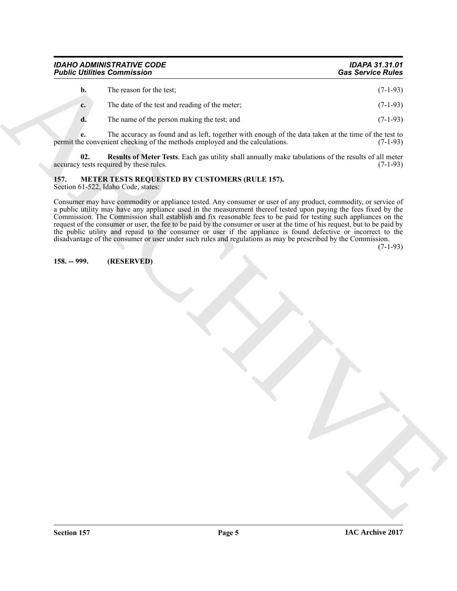|              | <b>IDAHO ADMINISTRATIVE CODE</b><br><b>Public Utilities Commission</b>                                                                                                                                                                                                                                                                                                                                                                                                                                                                                                                                                                                                                                                | <b>IDAPA 31.31.01</b><br><b>Gas Service Rules</b> |
|--------------|-----------------------------------------------------------------------------------------------------------------------------------------------------------------------------------------------------------------------------------------------------------------------------------------------------------------------------------------------------------------------------------------------------------------------------------------------------------------------------------------------------------------------------------------------------------------------------------------------------------------------------------------------------------------------------------------------------------------------|---------------------------------------------------|
| b.           | The reason for the test;                                                                                                                                                                                                                                                                                                                                                                                                                                                                                                                                                                                                                                                                                              | $(7-1-93)$                                        |
| c.           | The date of the test and reading of the meter;                                                                                                                                                                                                                                                                                                                                                                                                                                                                                                                                                                                                                                                                        | $(7-1-93)$                                        |
| d.           | The name of the person making the test; and                                                                                                                                                                                                                                                                                                                                                                                                                                                                                                                                                                                                                                                                           | $(7-1-93)$                                        |
| e.           | The accuracy as found and as left, together with enough of the data taken at the time of the test to<br>permit the convenient checking of the methods employed and the calculations.                                                                                                                                                                                                                                                                                                                                                                                                                                                                                                                                  | $(7-1-93)$                                        |
| 02.          | Results of Meter Tests. Each gas utility shall annually make tabulations of the results of all meter<br>accuracy tests required by these rules.                                                                                                                                                                                                                                                                                                                                                                                                                                                                                                                                                                       | $(7-1-93)$                                        |
| 157.         | METER TESTS REQUESTED BY CUSTOMERS (RULE 157).<br>Section 61-522, Idaho Code, states:                                                                                                                                                                                                                                                                                                                                                                                                                                                                                                                                                                                                                                 |                                                   |
|              | Consumer may have commodity or appliance tested. Any consumer or user of any product, commodity, or service of<br>a public utility may have any appliance used in the measurement thereof tested upon paying the fees fixed by the<br>Commission. The Commission shall establish and fix reasonable fees to be paid for testing such appliances on the<br>request of the consumer or user, the fee to be paid by the consumer or user at the time of his request, but to be paid by<br>the public utility and repaid to the consumer or user if the appliance is found defective or incorrect to the<br>disadvantage of the consumer or user under such rules and regulations as may be prescribed by the Commission. | $(7-1-93)$                                        |
| 158. -- 999. | (RESERVED)                                                                                                                                                                                                                                                                                                                                                                                                                                                                                                                                                                                                                                                                                                            |                                                   |
|              |                                                                                                                                                                                                                                                                                                                                                                                                                                                                                                                                                                                                                                                                                                                       |                                                   |
|              |                                                                                                                                                                                                                                                                                                                                                                                                                                                                                                                                                                                                                                                                                                                       |                                                   |

#### <span id="page-4-3"></span><span id="page-4-2"></span><span id="page-4-1"></span><span id="page-4-0"></span>**157. METER TESTS REQUESTED BY CUSTOMERS (RULE 157).** Section 61-522, Idaho Code, states: